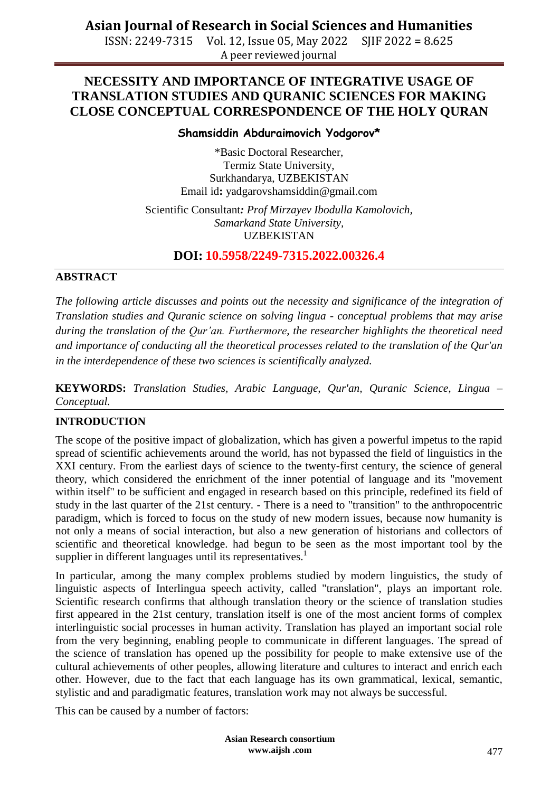ISSN: 2249-7315 Vol. 12, Issue 05, May 2022 SJIF 2022 = 8.625 A peer reviewed journal

# **NECESSITY AND IMPORTANCE OF INTEGRATIVE USAGE OF TRANSLATION STUDIES AND QURANIC SCIENCES FOR MAKING CLOSE CONCEPTUAL CORRESPONDENCE OF THE HOLY QURAN**

## **Shamsiddin Abduraimovich Yodgorov\***

\*Basic Doctoral Researcher, Termiz State University, Surkhandarya, UZBEKISTAN Email id**:** [yadgarovshamsiddin@gmail.com](mailto:yadgarovshamsiddin@gmail.com)

Scientific Consultant*: Prof Mirzayev Ibodulla Kamolovich, Samarkand State University,* UZBEKISTAN

**DOI: 10.5958/2249-7315.2022.00326.4**

#### **ABSTRACT**

*The following article discusses and points out the necessity and significance of the integration of Translation studies and Quranic science on solving lingua - conceptual problems that may arise during the translation of the Qur'an. Furthermore, the researcher highlights the theoretical need and importance of conducting all the theoretical processes related to the translation of the Qur'an in the interdependence of these two sciences is scientifically analyzed.* 

**KEYWORDS:** *Translation Studies, Arabic Language, Qur'an, Quranic Science, Lingua – Conceptual.*

## **INTRODUCTION**

The scope of the positive impact of globalization, which has given a powerful impetus to the rapid spread of scientific achievements around the world, has not bypassed the field of linguistics in the XXI century. From the earliest days of science to the twenty-first century, the science of general theory, which considered the enrichment of the inner potential of language and its "movement within itself" to be sufficient and engaged in research based on this principle, redefined its field of study in the last quarter of the 21st century. - There is a need to "transition" to the anthropocentric paradigm, which is forced to focus on the study of new modern issues, because now humanity is not only a means of social interaction, but also a new generation of historians and collectors of scientific and theoretical knowledge. had begun to be seen as the most important tool by the supplier in different languages until its representatives.<sup>1</sup>

In particular, among the many complex problems studied by modern linguistics, the study of linguistic aspects of Interlingua speech activity, called "translation", plays an important role. Scientific research confirms that although translation theory or the science of translation studies first appeared in the 21st century, translation itself is one of the most ancient forms of complex interlinguistic social processes in human activity. Translation has played an important social role from the very beginning, enabling people to communicate in different languages. The spread of the science of translation has opened up the possibility for people to make extensive use of the cultural achievements of other peoples, allowing literature and cultures to interact and enrich each other. However, due to the fact that each language has its own grammatical, lexical, semantic, stylistic and and paradigmatic features, translation work may not always be successful.

This can be caused by a number of factors:

**Asian Research consortium www.aijsh .com**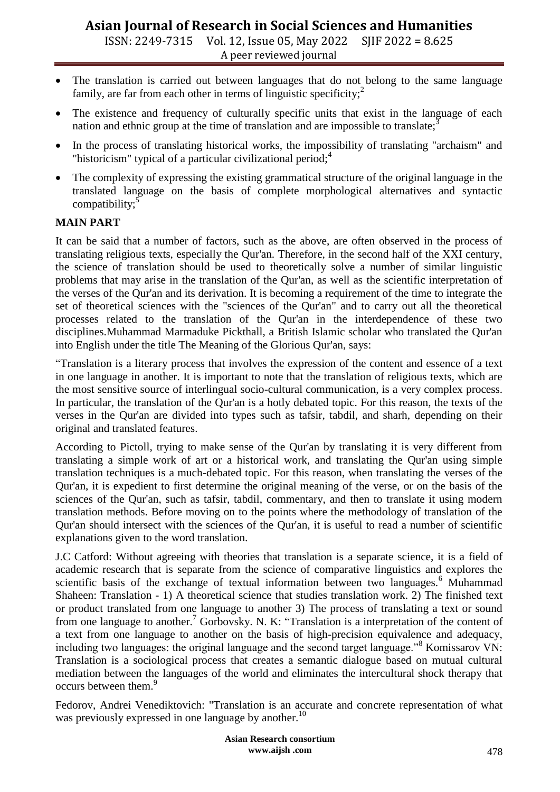ISSN: 2249-7315 Vol. 12, Issue 05, May 2022 SJIF 2022 = 8.625 A peer reviewed journal

- The translation is carried out between languages that do not belong to the same language family, are far from each other in terms of linguistic specificity;<sup>2</sup>
- The existence and frequency of culturally specific units that exist in the language of each nation and ethnic group at the time of translation and are impossible to translate; $\dot{\cdot}$
- In the process of translating historical works, the impossibility of translating "archaism" and "historicism" typical of a particular civilizational period; $4$
- The complexity of expressing the existing grammatical structure of the original language in the translated language on the basis of complete morphological alternatives and syntactic compatibility;<sup>5</sup>

# **MAIN PART**

It can be said that a number of factors, such as the above, are often observed in the process of translating religious texts, especially the Qur'an. Therefore, in the second half of the XXI century, the science of translation should be used to theoretically solve a number of similar linguistic problems that may arise in the translation of the Qur'an, as well as the scientific interpretation of the verses of the Qur'an and its derivation. It is becoming a requirement of the time to integrate the set of theoretical sciences with the "sciences of the Qur'an" and to carry out all the theoretical processes related to the translation of the Qur'an in the interdependence of these two disciplines.Muhammad Marmaduke Pickthall, a British Islamic scholar who translated the Qur'an into English under the title The Meaning of the Glorious Qur'an, says:

―Translation is a literary process that involves the expression of the content and essence of a text in one language in another. It is important to note that the translation of religious texts, which are the most sensitive source of interlingual socio-cultural communication, is a very complex process. In particular, the translation of the Qur'an is a hotly debated topic. For this reason, the texts of the verses in the Qur'an are divided into types such as tafsir, tabdil, and sharh, depending on their original and translated features.

According to Pictoll, trying to make sense of the Qur'an by translating it is very different from translating a simple work of art or a historical work, and translating the Qur'an using simple translation techniques is a much-debated topic. For this reason, when translating the verses of the Qur'an, it is expedient to first determine the original meaning of the verse, or on the basis of the sciences of the Qur'an, such as tafsir, tabdil, commentary, and then to translate it using modern translation methods. Before moving on to the points where the methodology of translation of the Qur'an should intersect with the sciences of the Qur'an, it is useful to read a number of scientific explanations given to the word translation.

J.C Catford: Without agreeing with theories that translation is a separate science, it is a field of academic research that is separate from the science of comparative linguistics and explores the scientific basis of the exchange of textual information between two languages.<sup>6</sup> Muhammad Shaheen: Translation - 1) A theoretical science that studies translation work. 2) The finished text or product translated from one language to another 3) The process of translating a text or sound from one language to another.<sup>7</sup> Gorbovsky. N. K: "Translation is a interpretation of the content of a text from one language to another on the basis of high-precision equivalence and adequacy, including two languages: the original language and the second target language.<sup>88</sup> Komissarov VN: Translation is a sociological process that creates a semantic dialogue based on mutual cultural mediation between the languages of the world and eliminates the intercultural shock therapy that occurs between them.<sup>9</sup>

Fedorov, Andrei Venediktovich: "Translation is an accurate and concrete representation of what was previously expressed in one language by another.<sup>10</sup>

> **Asian Research consortium www.aijsh .com**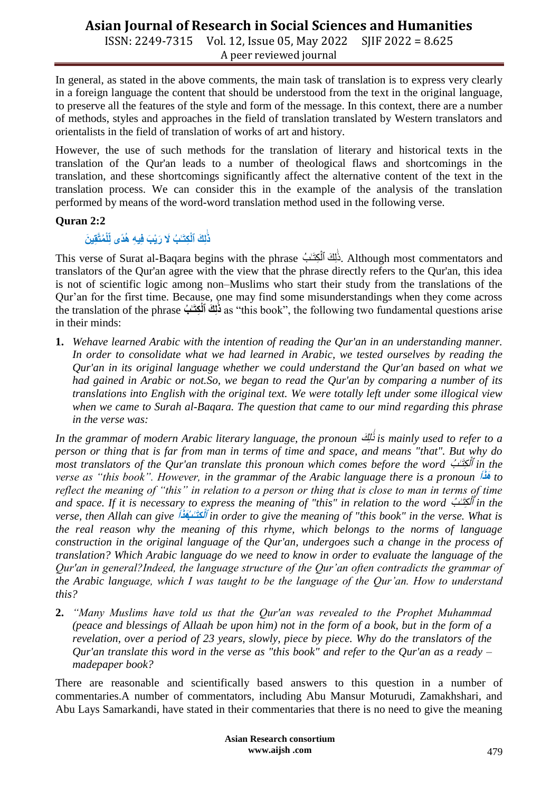ISSN: 2249-7315 Vol. 12, Issue 05, May 2022 SJIF 2022 = 8.625 A peer reviewed journal

In general, as stated in the above comments, the main task of translation is to express very clearly in a foreign language the content that should be understood from the text in the original language, to preserve all the features of the style and form of the message. In this context, there are a number of methods, styles and approaches in the field of translation translated by Western translators and orientalists in the field of translation of works of art and history.

However, the use of such methods for the translation of literary and historical texts in the translation of the Qur'an leads to a number of theological flaws and shortcomings in the translation, and these shortcomings significantly affect the alternative content of the text in the translation process. We can consider this in the example of the analysis of the translation performed by means of the word-word translation method used in the following verse.

# **Quran 2:2**

#### $i$ لَٰٓئِكَ ٱلْكِتَـٰبُ لَا رَيْبَ فِيهِ هُدًى لِّلْمُتَّقِينَ **ٰـ**

This verse of Surat al-Baqara begins with the phrase بَلَاكَ ٱلْمَجْتَـٰبُ. Although most commentators and ْل ا<br>ـ translators of the Qur'an agree with the view that the phrase directly refers to the Qur'an, this idea is not of scientific logic among non–Muslims who start their study from the translations of the Qur'an for the first time. Because, one may find some misunderstandings when they come across the translation of the phrase فَلِكَ ٱلْكِتَـٰبُ as "this book", the following two fundamental questions arise **ٰـ** in their minds:

**1.** *Wehave learned Arabic with the intention of reading the Qur'an in an understanding manner. In order to consolidate what we had learned in Arabic, we tested ourselves by reading the Qur'an in its original language whether we could understand the Qur'an based on what we had gained in Arabic or not.So, we began to read the Qur'an by comparing a number of its translations into English with the original text. We were totally left under some illogical view when we came to Surah al-Baqara. The question that came to our mind regarding this phrase in the verse was:*

*In the grammar of modern Arabic literary language, the pronoun* ذَٰ لٱِ ٰـ ذَٰ *is mainly used to refer to a person or thing that is far from man in terms of time and space, and means "that". But why do*  most translators of the Qur'an translate this pronoun which comes before the word أَكْتَـٰبُ ـِلْمُ ٱ *in the verse as "this book". However, in the grammar of the Arabic language there is a pronoun* **أ**  *to* **َٰذ ذَٰذ** *reflect the meaning of "this" in relation to a person or thing that is close to man in terms of time and space. If it is necessary to express the meaning of "this" in relation to the word*  ٱ *in the verse, then Allah can give* **بُ ـٰ ِل َٰذ ٱ أ ْل ذَٰذ ذَٰ** *in order to give the meaning of "this book" in the verse. What is the real reason why the meaning of this rhyme, which belongs to the norms of language construction in the original language of the Qur'an, undergoes such a change in the process of translation? Which Arabic language do we need to know in order to evaluate the language of the Qur'an in general?Indeed, the language structure of the Qur'an often contradicts the grammar of the Arabic language, which I was taught to be the language of the Qur'an. How to understand this?*

**2.** *"Many Muslims have told us that the Qur'an was revealed to the Prophet Muhammad (peace and blessings of Allaah be upon him) not in the form of a book, but in the form of a revelation, over a period of 23 years, slowly, piece by piece. Why do the translators of the Qur'an translate this word in the verse as "this book" and refer to the Qur'an as a ready – madepaper book?* 

There are reasonable and scientifically based answers to this question in a number of commentaries.A number of commentators, including Abu Mansur Moturudi, Zamakhshari, and Abu Lays Samarkandi, have stated in their commentaries that there is no need to give the meaning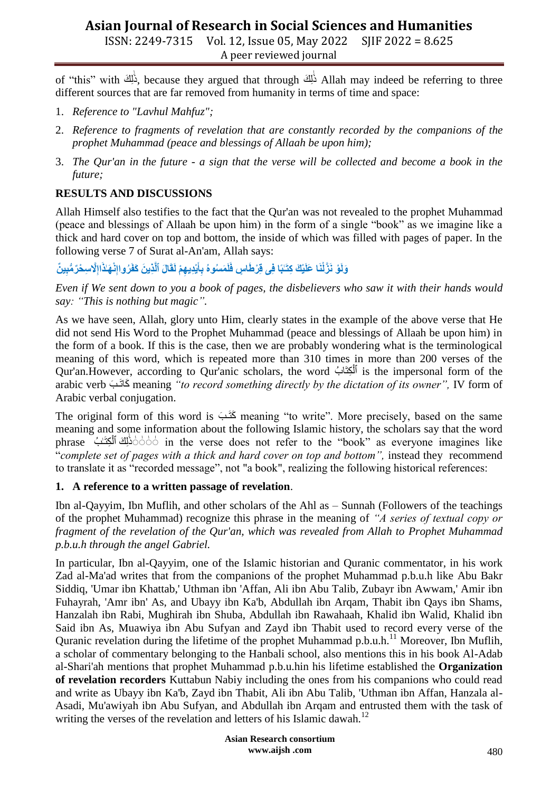ISSN: 2249-7315 Vol. 12, Issue 05, May 2022 SJIF 2022 = 8.625 A peer reviewed journal

of "this" with ذَٰلِكَ because they argued that through ذَٰلِكَ Allah may indeed be referring to three ا<br>ـ ا<br>ـ different sources that are far removed from humanity in terms of time and space:

- 1. *Reference to "Lavhul Mahfuz";*
- 2. *Reference to fragments of revelation that are constantly recorded by the companions of the prophet Muhammad (peace and blessings of Allaah be upon him);*
- 3. *The Qur'an in the future - a sign that the verse will be collected and become a book in the future;*

# **RESULTS AND DISCUSSIONS**

Allah Himself also testifies to the fact that the Qur'an was not revealed to the prophet Muhammad (peace and blessings of Allaah be upon him) in the form of a single "book" as we imagine like a thick and hard cover on top and bottom, the inside of which was filled with pages of paper. In the following verse 7 of Surat al-An'am, Allah says:

#### وَلَوْ نَزَّلْنَا عَلَيْكَ كِتَـٰبًا فِى قِرْطَاسٍ فَلَمَسُوهُ بِأَيْدِيهِمْ لَقَالَ ٱلَّذِينَ كَفَرُواإِنْهَـٰأَاإِلَّاسِـحْرّ مُّبِينٌ **ِل ِل َٰذ**

*Even if We sent down to you a book of pages, the disbelievers who saw it with their hands would say: "This is nothing but magic".*

As we have seen, Allah, glory unto Him, clearly states in the example of the above verse that He did not send His Word to the Prophet Muhammad (peace and blessings of Allaah be upon him) in the form of a book. If this is the case, then we are probably wondering what is the terminological meaning of this word, which is repeated more than 310 times in more than 200 verses of the Qur'an.However, according to Qur'anic scholars, the word باُ ذَٰ لِ ٱ is the impersonal form of the ْل arabic verb ذَٰ ذَٰا ذَٰ meaning *"to record something directly by the dictation of its owner",* IV form of Arabic verbal conjugation.

The original form of this word is  $\leq$  is meaning "to write". More precisely, based on the same meaning and some information about the following Islamic history, the scholars say that the word phrase أَذَٰلِكَ ٱلْكِتَـٰبُ in the verse does not refer to the "book" as everyone imagines like ا<br>ا ا<br>ـ ―*complete set of pages with a thick and hard cover on top and bottom",* instead they recommend to translate it as "recorded message", not "a book", realizing the following historical references:

# **1. A reference to a written passage of revelation**.

Ibn al-Qayyim, Ibn Muflih, and other scholars of the Ahl as – Sunnah (Followers of the teachings of the prophet Muhammad) recognize this phrase in the meaning of *"A series of textual copy or fragment of the revelation of the Qur'an, which was revealed from Allah to Prophet Muhammad p.b.u.h through the angel Gabriel.*

In particular, Ibn al-Qayyim, one of the Islamic historian and Quranic commentator, in his work Zad al-Ma'ad writes that from the companions of the prophet Muhammad p.b.u.h like Abu Bakr Siddiq, 'Umar ibn Khattab,' Uthman ibn 'Affan, Ali ibn Abu Talib, Zubayr ibn Awwam,' Amir ibn Fuhayrah, 'Amr ibn' As, and Ubayy ibn Ka'b, Abdullah ibn Arqam, Thabit ibn Qays ibn Shams, Hanzalah ibn Rabi, Mughirah ibn Shuba, Abdullah ibn Rawahaah, Khalid ibn Walid, Khalid ibn Said ibn As, Muawiya ibn Abu Sufyan and Zayd ibn Thabit used to record every verse of the Quranic revelation during the lifetime of the prophet Muhammad p.b.u.h.<sup>11</sup> Moreover, Ibn Muflih, a scholar of commentary belonging to the Hanbali school, also mentions this in his book Al-Adab al-Shari'ah mentions that prophet Muhammad p.b.u.hin his lifetime established the **Organization of revelation recorders** Kuttabun Nabiy including the ones from his companions who could read and write as Ubayy ibn Ka'b, Zayd ibn Thabit, Ali ibn Abu Talib, 'Uthman ibn Affan, Hanzala al-Asadi, Mu'awiyah ibn Abu Sufyan, and Abdullah ibn Arqam and entrusted them with the task of writing the verses of the revelation and letters of his Islamic dawah.<sup>12</sup>

> **Asian Research consortium www.aijsh .com**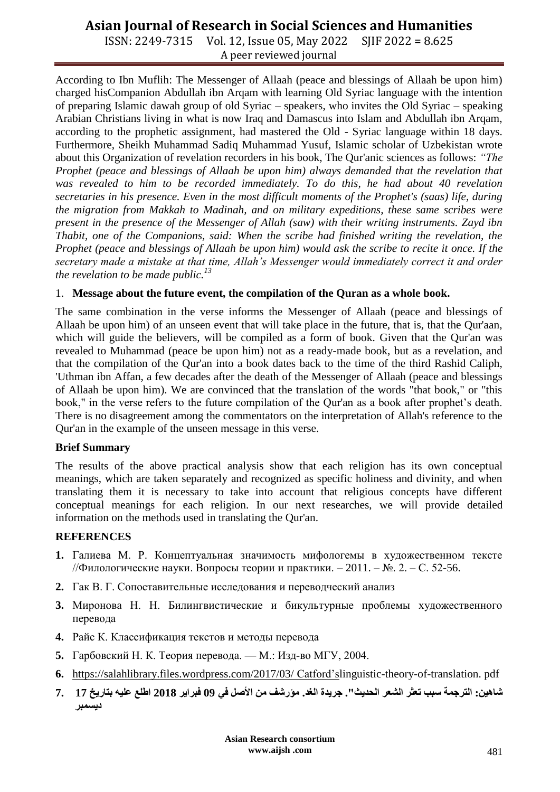ISSN: 2249-7315 Vol. 12, Issue 05, May 2022 SJIF 2022 = 8.625 A peer reviewed journal

According to Ibn Muflih: The Messenger of Allaah (peace and blessings of Allaah be upon him) charged hisCompanion Abdullah ibn Arqam with learning Old Syriac language with the intention of preparing Islamic dawah group of old Syriac – speakers, who invites the Old Syriac – speaking Arabian Christians living in what is now Iraq and Damascus into Islam and Abdullah ibn Arqam, according to the prophetic assignment, had mastered the Old - Syriac language within 18 days. Furthermore, Sheikh Muhammad Sadiq Muhammad Yusuf, Islamic scholar of Uzbekistan wrote about this Organization of revelation recorders in his book, The Qur'anic sciences as follows: *"The Prophet (peace and blessings of Allaah be upon him) always demanded that the revelation that was revealed to him to be recorded immediately. To do this, he had about 40 revelation secretaries in his presence. Even in the most difficult moments of the Prophet's (saas) life, during the migration from Makkah to Madinah, and on military expeditions, these same scribes were present in the presence of the Messenger of Allah (saw) with their writing instruments. Zayd ibn Thabit, one of the Companions, said: When the scribe had finished writing the revelation, the Prophet (peace and blessings of Allaah be upon him) would ask the scribe to recite it once. If the secretary made a mistake at that time, Allah's Messenger would immediately correct it and order the revelation to be made public.<sup>13</sup>*

## 1. **Message about the future event, the compilation of the Quran as a whole book.**

The same combination in the verse informs the Messenger of Allaah (peace and blessings of Allaah be upon him) of an unseen event that will take place in the future, that is, that the Qur'aan, which will guide the believers, will be compiled as a form of book. Given that the Qur'an was revealed to Muhammad (peace be upon him) not as a ready-made book, but as a revelation, and that the compilation of the Qur'an into a book dates back to the time of the third Rashid Caliph, 'Uthman ibn Affan, a few decades after the death of the Messenger of Allaah (peace and blessings of Allaah be upon him). We are convinced that the translation of the words "that book," or "this book," in the verse refers to the future compilation of the Qur'an as a book after prophet's death. There is no disagreement among the commentators on the interpretation of Allah's reference to the Qur'an in the example of the unseen message in this verse.

## **Brief Summary**

The results of the above practical analysis show that each religion has its own conceptual meanings, which are taken separately and recognized as specific holiness and divinity, and when translating them it is necessary to take into account that religious concepts have different conceptual meanings for each religion. In our next researches, we will provide detailed information on the methods used in translating the Qur'an.

#### **REFERENCES**

- **1.** Галиева М. Р. Концептуальная значимость мифологемы в художественном тексте //Филологические науки. Вопросы теории и практики. – 2011. – №. 2. – С. 52-56.
- **2.** Гак В. Г. Сопоставительные исследования и переводческий анализ
- **3.** Миронова Н. Н. Билингвистические и бикультурные проблемы художественного перевода
- **4.** Райс К. Классификация текстов и методы перевода
- **5.** Гарбовский Н. К. Теория перевода. М.: Изд-во МГУ, 2004.
- **6.** [https://salahlibrary.files.wordpress.com/2017/03/](https://salahlibrary.files.wordpress.com/2017/03/%20Catford) Catford'slinguistic-theory-of-translation. pdf
- **ش ي: وٱ ج ةى ىتعث ىوٱشع ىوٱ ث". ج ةىوٱغ . ؤ شفى يىوألصلى يى09ى و ى2018ىو عى يى خى17 7. ديسمبر**